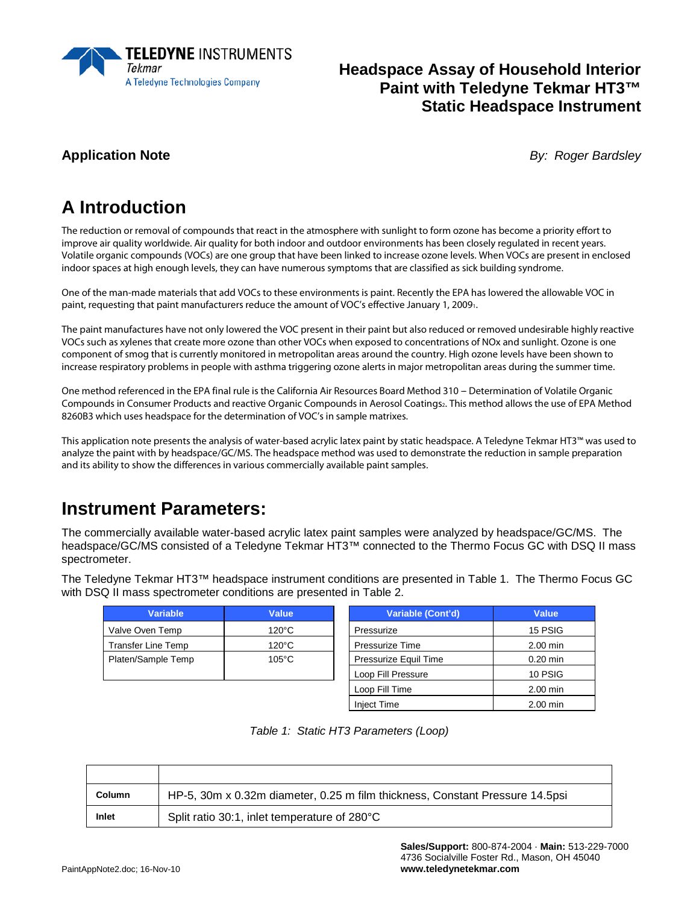

#### **Headspace Assay of Household Interior Paint with Teledyne Tekmar HT3™ Static Headspace Instrument**

**Application Note** *By: Roger Bardsley*

# **A Introduction**

The reduction or removal of compounds that react in the atmosphere with sunlight to form ozone has become a priority effort to improve air quality worldwide. Air quality for both indoor and outdoor environments has been closely regulated in recent years. Volatile organic compounds (VOCs) are one group that have been linked to increase ozone levels. When VOCs are present in enclosed indoor spaces at high enough levels, they can have numerous symptoms that are classified as sick building syndrome.

One of the man-made materials that add VOCs to these environments is paint. Recently the EPA has lowered the allowable VOC in paint, requesting that paint manufacturers reduce the amount of VOC's effective January 1, 20091.

The paint manufactures have not only lowered the VOC present in their paint but also reduced or removed undesirable highly reactive VOCs such as xylenes that create more ozone than other VOCs when exposed to concentrations of NOx and sunlight. Ozone is one component of smog that is currently monitored in metropolitan areas around the country. High ozone levels have been shown to increase respiratory problems in people with asthma triggering ozone alerts in major metropolitan areas during the summer time.

One method referenced in the EPA final rule is the California Air Resources Board Method 310 – Determination of Volatile Organic Compounds in Consumer Products and reactive Organic Compounds in Aerosol Coatings, This method allows the use of EPA Method 8260B3 which uses headspace for the determination of VOC's in sample matrixes.

This application note presents the analysis of water-based acrylic latex paint by static headspace. A Teledyne Tekmar HT3™ was used to analyze the paint with by headspace/GC/MS. The headspace method was used to demonstrate the reduction in sample preparation and its ability to show the differences in various commercially available paint samples.

# **Instrument Parameters:**

The commercially available water-based acrylic latex paint samples were analyzed by headspace/GC/MS. The headspace/GC/MS consisted of a Teledyne Tekmar HT3™ connected to the Thermo Focus GC with DSQ II mass spectrometer.

The Teledyne Tekmar HT3™ headspace instrument conditions are presented in Table 1. The Thermo Focus GC with DSQ II mass spectrometer conditions are presented in Table 2.

| <b>Variable</b>           | Value           | Variable (Cont'd)            | Value      |
|---------------------------|-----------------|------------------------------|------------|
| Valve Oven Temp           | $120^{\circ}$ C | Pressurize                   | 15 PSIG    |
| <b>Transfer Line Temp</b> | $120^{\circ}$ C | <b>Pressurize Time</b>       | 2.00 min   |
| Platen/Sample Temp        | $105^{\circ}$ C | <b>Pressurize Equil Time</b> | $0.20$ min |
|                           |                 | Loop Fill Pressure           | 10 PSIG    |
|                           |                 |                              | - - - -    |

| Variable (Cont'd)     | Value      |
|-----------------------|------------|
| Pressurize            | 15 PSIG    |
| Pressurize Time       | 2.00 min   |
| Pressurize Equil Time | $0.20$ min |
| Loop Fill Pressure    | 10 PSIG    |
| Loop Fill Time        | 2.00 min   |
| <b>Inject Time</b>    | 2.00 min   |

|  |  | Table 1: Static HT3 Parameters (Loop) |  |
|--|--|---------------------------------------|--|
|--|--|---------------------------------------|--|

| <b>Column</b> | HP-5, 30m x 0.32m diameter, 0.25 m film thickness, Constant Pressure 14.5psi |
|---------------|------------------------------------------------------------------------------|
| Inlet         | Split ratio 30:1, inlet temperature of 280°C                                 |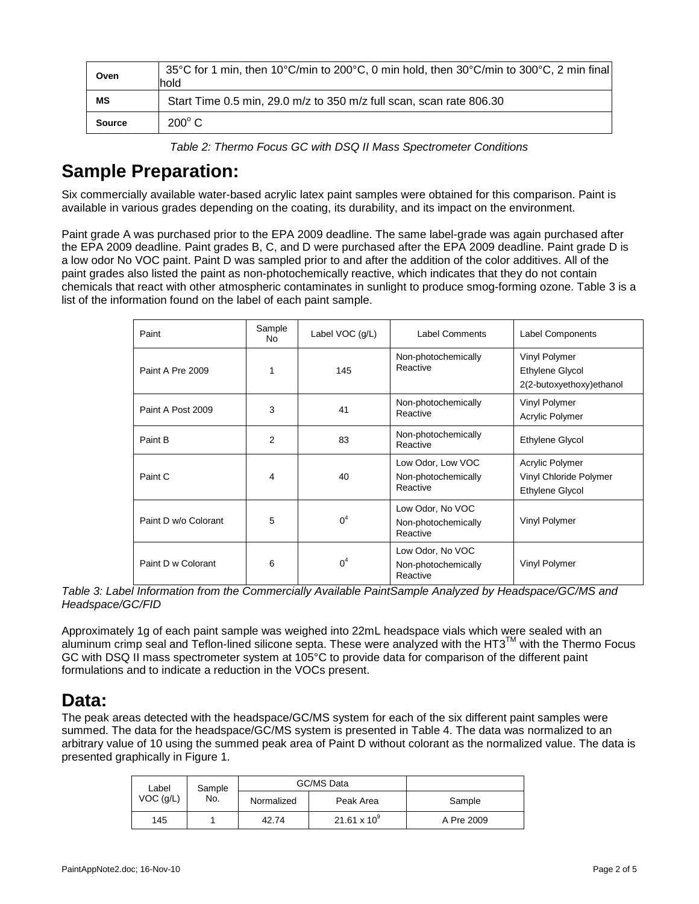| Oven          | 35°C for 1 min, then $10^{\circ}$ C/min to 200°C, 0 min hold, then $30^{\circ}$ C/min to 300°C, 2 min final<br>hold |
|---------------|---------------------------------------------------------------------------------------------------------------------|
| ΜS            | Start Time 0.5 min, 29.0 m/z to 350 m/z full scan, scan rate 806.30                                                 |
| <b>Source</b> | $200^{\circ}$ C                                                                                                     |

*Table 2: Thermo Focus GC with DSQ II Mass Spectrometer Conditions*

## **Sample Preparation:**

Six commercially available water-based acrylic latex paint samples were obtained for this comparison. Paint is available in various grades depending on the coating, its durability, and its impact on the environment.

Paint grade A was purchased prior to the EPA 2009 deadline. The same label-grade was again purchased after the EPA 2009 deadline. Paint grades B, C, and D were purchased after the EPA 2009 deadline. Paint grade D is a low odor No VOC paint. Paint D was sampled prior to and after the addition of the color additives. All of the paint grades also listed the paint as non-photochemically reactive, which indicates that they do not contain chemicals that react with other atmospheric contaminates in sunlight to produce smog-forming ozone. Table 3 is a list of the information found on the label of each paint sample.

| Paint                | Sample<br>No. | Label VOC (g/L) | <b>Label Comments</b>                                | <b>Label Components</b>                                             |
|----------------------|---------------|-----------------|------------------------------------------------------|---------------------------------------------------------------------|
| Paint A Pre 2009     |               | 145             | Non-photochemically<br>Reactive                      | Vinyl Polymer<br>Ethylene Glycol<br>2(2-butoxyethoxy)ethanol        |
| Paint A Post 2009    | 3             | 41              | Non-photochemically<br>Reactive                      | Vinyl Polymer<br>Acrylic Polymer                                    |
| Paint B              | 2             | 83              | Non-photochemically<br>Reactive                      | Ethylene Glycol                                                     |
| Paint C              | 4             | 40              | Low Odor, Low VOC<br>Non-photochemically<br>Reactive | Acrylic Polymer<br>Vinyl Chloride Polymer<br><b>Ethylene Glycol</b> |
| Paint D w/o Colorant | 5             | 0 <sup>4</sup>  | Low Odor, No VOC<br>Non-photochemically<br>Reactive  | Vinyl Polymer                                                       |
| Paint D w Colorant   | 6             | 0 <sup>4</sup>  | Low Odor, No VOC<br>Non-photochemically<br>Reactive  | Vinyl Polymer                                                       |

*Table 3: Label Information from the Commercially Available PaintSample Analyzed by Headspace/GC/MS and Headspace/GC/FID*

Approximately 1g of each paint sample was weighed into 22mL headspace vials which were sealed with an aluminum crimp seal and Teflon-lined silicone septa. These were analyzed with the HT3TM with the Thermo Focus GC with DSQ II mass spectrometer system at 105°C to provide data for comparison of the different paint formulations and to indicate a reduction in the VOCs present.

### **Data:**

The peak areas detected with the headspace/GC/MS system for each of the six different paint samples were summed. The data for the headspace/GC/MS system is presented in Table 4. The data was normalized to an arbitrary value of 10 using the summed peak area of Paint D without colorant as the normalized value. The data is presented graphically in Figure 1.

|     | Label<br>Sample<br>$VOC$ ( $g/L$ )<br>No. | GC/MS Data |                       |            |
|-----|-------------------------------------------|------------|-----------------------|------------|
|     |                                           | Normalized | Peak Area             | Sample     |
| 145 |                                           | 42.74      | $21.61 \times 10^{9}$ | A Pre 2009 |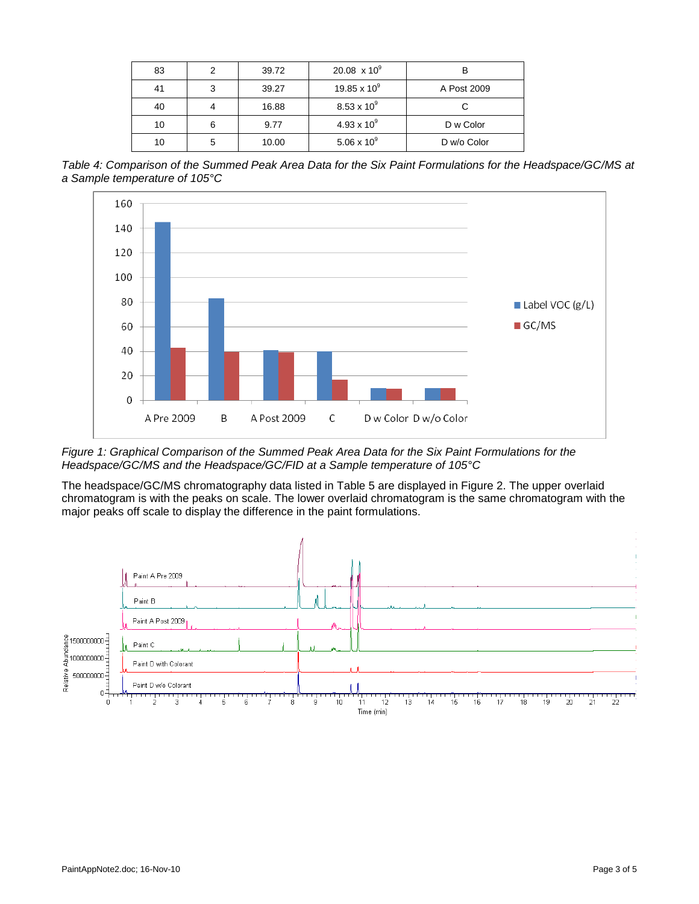| 83 |   | 39.72 | 20.08 $\times$ 10 <sup>9</sup> |             |
|----|---|-------|--------------------------------|-------------|
| 41 | 3 | 39.27 | 19.85 x $10^9$                 | A Post 2009 |
| 40 |   | 16.88 | $8.53 \times 10^{9}$           |             |
| 10 |   | 9.77  | $4.93 \times 10^{9}$           | D w Color   |
| 10 | 5 | 10.00 | $5.06 \times 10^{9}$           | D w/o Color |

*Table 4: Comparison of the Summed Peak Area Data for the Six Paint Formulations for the Headspace/GC/MS at a Sample temperature of 105°C*



*Figure 1: Graphical Comparison of the Summed Peak Area Data for the Six Paint Formulations for the Headspace/GC/MS and the Headspace/GC/FID at a Sample temperature of 105°C*

The headspace/GC/MS chromatography data listed in Table 5 are displayed in Figure 2. The upper overlaid chromatogram is with the peaks on scale. The lower overlaid chromatogram is the same chromatogram with the major peaks off scale to display the difference in the paint formulations.

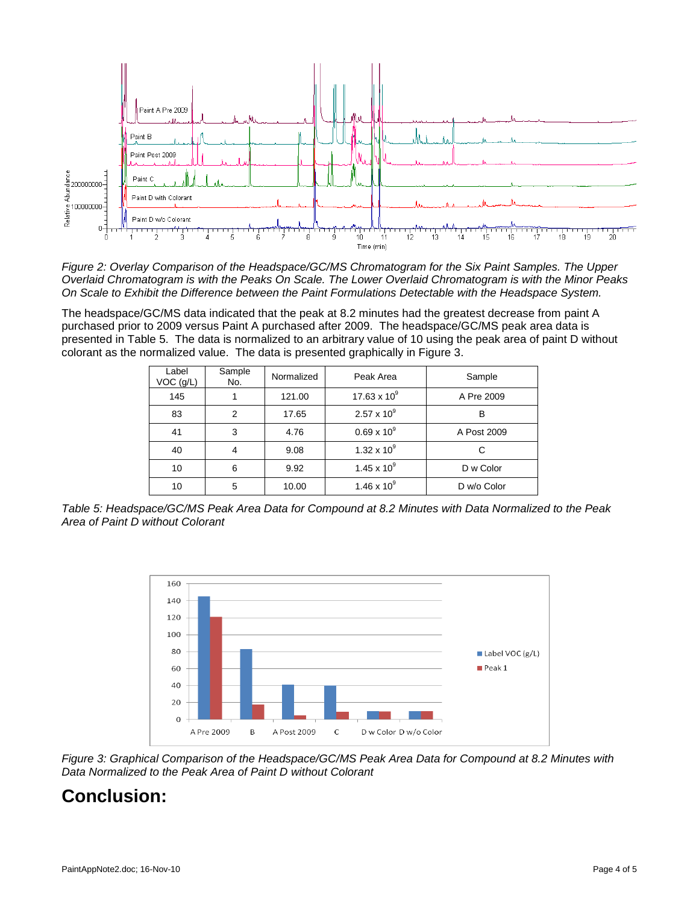

*Figure 2: Overlay Comparison of the Headspace/GC/MS Chromatogram for the Six Paint Samples. The Upper Overlaid Chromatogram is with the Peaks On Scale. The Lower Overlaid Chromatogram is with the Minor Peaks On Scale to Exhibit the Difference between the Paint Formulations Detectable with the Headspace System.*

The headspace/GC/MS data indicated that the peak at 8.2 minutes had the greatest decrease from paint A purchased prior to 2009 versus Paint A purchased after 2009. The headspace/GC/MS peak area data is presented in Table 5. The data is normalized to an arbitrary value of 10 using the peak area of paint D without colorant as the normalized value. The data is presented graphically in Figure 3.

| Label<br>VOC (g/L) | Sample<br>No. | Normalized | Peak Area            | Sample      |
|--------------------|---------------|------------|----------------------|-------------|
| 145                |               | 121.00     | 17.63 x $10^9$       | A Pre 2009  |
| 83                 | 2             | 17.65      | $2.57 \times 10^{9}$ | В           |
| 41                 | 3             | 4.76       | $0.69 \times 10^{9}$ | A Post 2009 |
| 40                 | 4             | 9.08       | 1.32 x $10^9$        | C           |
| 10                 | 6             | 9.92       | $1.45 \times 10^{9}$ | D w Color   |
| 10                 | 5             | 10.00      | 1.46 x $10^9$        | D w/o Color |

*Table 5: Headspace/GC/MS Peak Area Data for Compound at 8.2 Minutes with Data Normalized to the Peak Area of Paint D without Colorant*



*Figure 3: Graphical Comparison of the Headspace/GC/MS Peak Area Data for Compound at 8.2 Minutes with Data Normalized to the Peak Area of Paint D without Colorant* 

# **Conclusion:**